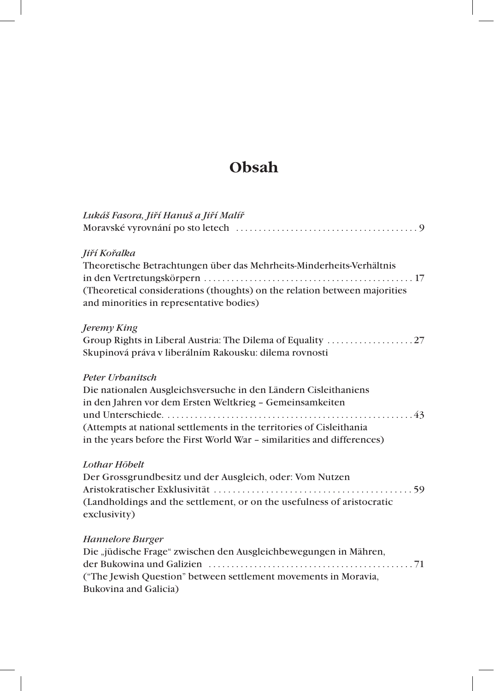# **Obsah**

| Lukáš Fasora, Jiří Hanuš a Jiří Malíř                                     |
|---------------------------------------------------------------------------|
|                                                                           |
| Jiří Kořalka                                                              |
| Theoretische Betrachtungen über das Mehrheits-Minderheits-Verhältnis      |
|                                                                           |
| (Theoretical considerations (thoughts) on the relation between majorities |
| and minorities in representative bodies)                                  |
| Jeremy King                                                               |
|                                                                           |
| Skupinová práva v liberálním Rakousku: dilema rovnosti                    |
| Peter Urbanitsch                                                          |
| Die nationalen Ausgleichsversuche in den Ländern Cisleithaniens           |
| in den Jahren vor dem Ersten Weltkrieg - Gemeinsamkeiten                  |
|                                                                           |
| (Attempts at national settlements in the territories of Cisleithania      |
| in the years before the First World War - similarities and differences)   |
| Lothar Höbelt                                                             |
| Der Grossgrundbesitz und der Ausgleich, oder: Vom Nutzen                  |
|                                                                           |
| (Landholdings and the settlement, or on the usefulness of aristocratic    |
| exclusivity)                                                              |
| Hannelore Burger                                                          |
| Die "jüdische Frage" zwischen den Ausgleichbewegungen in Mähren,          |
|                                                                           |
| ("The Jewish Question" between settlement movements in Moravia,           |
| Bukovina and Galicia)                                                     |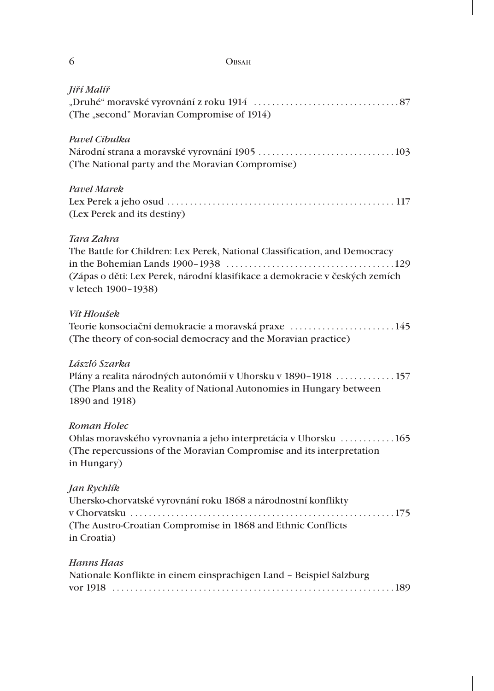| 6                                                 | <b>OBSAH</b>                                                                                                                                              |
|---------------------------------------------------|-----------------------------------------------------------------------------------------------------------------------------------------------------------|
| Jiří Malíř                                        | (The "second" Moravian Compromise of 1914)                                                                                                                |
| Pavel Cibulka                                     | (The National party and the Moravian Compromise)                                                                                                          |
| <b>Pavel Marek</b><br>(Lex Perek and its destiny) |                                                                                                                                                           |
| Tara Zahra<br>v letech 1900-1938)                 | The Battle for Children: Lex Perek, National Classification, and Democracy<br>(Zápas o děti: Lex Perek, národní klasifikace a demokracie v českých zemích |
| Vít Hloušek                                       | Teorie konsociační demokracie a moravská praxe 145<br>(The theory of con-social democracy and the Moravian practice)                                      |
| László Szarka<br>1890 and 1918)                   | Plány a realita národných autonómií v Uhorsku v 1890–1918  157<br>(The Plans and the Reality of National Autonomies in Hungary between                    |
| Roman Holec<br>in Hungary)                        | Ohlas moravského vyrovnania a jeho interpretácia v Uhorsku  165<br>(The repercussions of the Moravian Compromise and its interpretation                   |
| Jan Rychlík<br>in Croatia)                        | Uhersko-chorvatské vyrovnání roku 1868 a národnostní konflikty<br>(The Austro-Croatian Compromise in 1868 and Ethnic Conflicts                            |
| <b>Hanns Haas</b>                                 | Nationale Konflikte in einem einsprachigen Land - Beispiel Salzburg                                                                                       |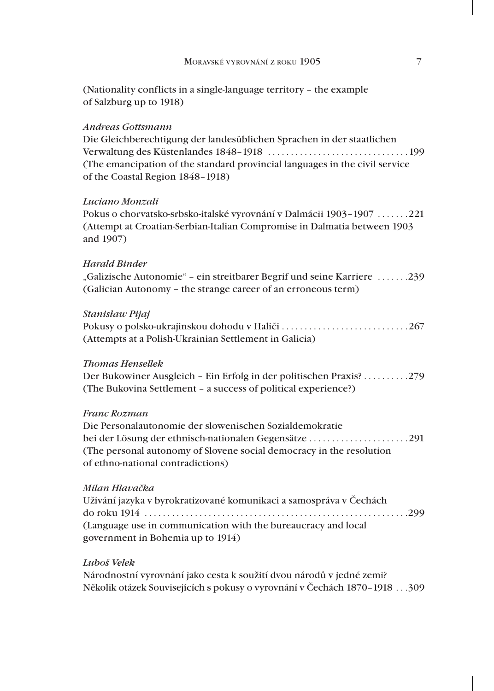(Nationality conflicts in a single-language territory – the example of Salzburg up to 1918)

## *Andreas Gottsmann*

Die Gleichberechtigung der landesüblichen Sprachen in der staatlichen Verwaltung des Küstenlandes 1848–1918 . . . . . . . . . . . . . . . . . . . . . . . . . . . . . . 199 (The emancipation of the standard provincial languages in the civil service of the Coastal Region 1848–1918)

#### *Luciano Monzali*

Pokus o chorvatsko-srbsko-italské vyrovnání v Dalmácii 1903–1907 . . . . . . 221 (Attempt at Croatian-Serbian-Italian Compromise in Dalmatia between 1903 and 1907)

## *Harald Binder*

"Galizische Autonomie" – ein streitbarer Begrif und seine Karriere .......239 (Galician Autonomy – the strange career of an erroneous term)

#### *Stanisław Pijaj*

Pokusy o polsko-ukrajinskou dohodu v Haliči . . . . . . . . . . . . . . . . . . . . . . . . . . . 267 (Attempts at a Polish-Ukrainian Settlement in Galicia)

#### *Thomas Hensellek*

Der Bukowiner Ausgleich – Ein Erfolg in der politischen Praxis? . . . . . . . . . 279 (The Bukovina Settlement – a success of political experience?)

# *Franc Rozman*

Die Personalautonomie der slowenischen Sozialdemokratie bei der Lösung der ethnisch-nationalen Gegensätze . . . . . . . . . . . . . . . . . . . . . 291 (The personal autonomy of Slovene social democracy in the resolution of ethno-national contradictions)

## *Milan Hlavačka*

Užívání jazyka v byrokratizované komunikaci a samospráva v Čechách do roku 1914 . . . . . . . . . . . . . . . . . . . . . . . . . . . . . . . . . . . . . . . . . . . . . . . . . . . . . . . . . 299 (Language use in communication with the bureaucracy and local government in Bohemia up to 1914)

## *Luboš Velek*

Národnostní vyrovnání jako cesta k soužití dvou národů v jedné zemi? Několik otázek Souvisejících s pokusy o vyrovnání v Čechách 1870–1918 . . 309